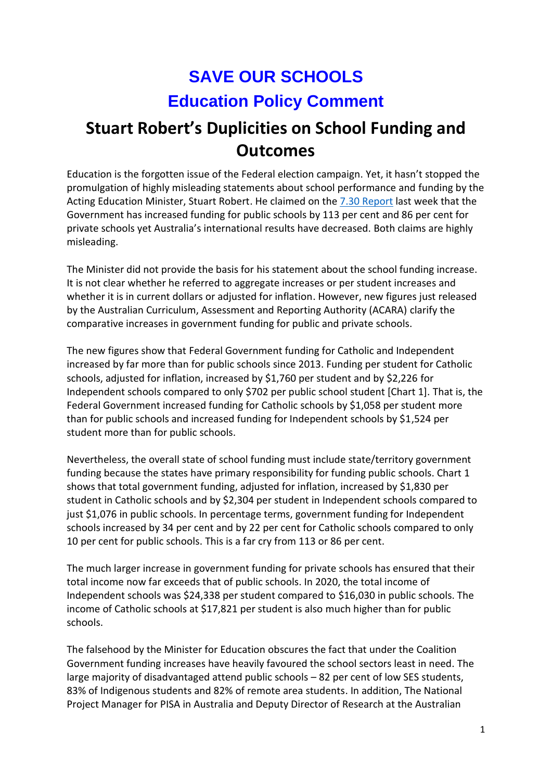## **SAVE OUR SCHOOLS Education Policy Comment**

## **Stuart Robert's Duplicities on School Funding and Outcomes**

Education is the forgotten issue of the Federal election campaign. Yet, it hasn't stopped the promulgation of highly misleading statements about school performance and funding by the Acting Education Minister, Stuart Robert. He claimed on the [7.30 Report](https://www.abc.net.au/7.30/ten-years-after-the-gonski-report-was-released-%E2%80%93/13873944) last week that the Government has increased funding for public schools by 113 per cent and 86 per cent for private schools yet Australia's international results have decreased. Both claims are highly misleading.

The Minister did not provide the basis for his statement about the school funding increase. It is not clear whether he referred to aggregate increases or per student increases and whether it is in current dollars or adjusted for inflation. However, new figures just released by the Australian Curriculum, Assessment and Reporting Authority (ACARA) clarify the comparative increases in government funding for public and private schools.

The new figures show that Federal Government funding for Catholic and Independent increased by far more than for public schools since 2013. Funding per student for Catholic schools, adjusted for inflation, increased by \$1,760 per student and by \$2,226 for Independent schools compared to only \$702 per public school student [Chart 1]. That is, the Federal Government increased funding for Catholic schools by \$1,058 per student more than for public schools and increased funding for Independent schools by \$1,524 per student more than for public schools.

Nevertheless, the overall state of school funding must include state/territory government funding because the states have primary responsibility for funding public schools. Chart 1 shows that total government funding, adjusted for inflation, increased by \$1,830 per student in Catholic schools and by \$2,304 per student in Independent schools compared to just \$1,076 in public schools. In percentage terms, government funding for Independent schools increased by 34 per cent and by 22 per cent for Catholic schools compared to only 10 per cent for public schools. This is a far cry from 113 or 86 per cent.

The much larger increase in government funding for private schools has ensured that their total income now far exceeds that of public schools. In 2020, the total income of Independent schools was \$24,338 per student compared to \$16,030 in public schools. The income of Catholic schools at \$17,821 per student is also much higher than for public schools.

The falsehood by the Minister for Education obscures the fact that under the Coalition Government funding increases have heavily favoured the school sectors least in need. The large majority of disadvantaged attend public schools – 82 per cent of low SES students, 83% of Indigenous students and 82% of remote area students. In addition, The National Project Manager for PISA in Australia and Deputy Director of Research at the Australian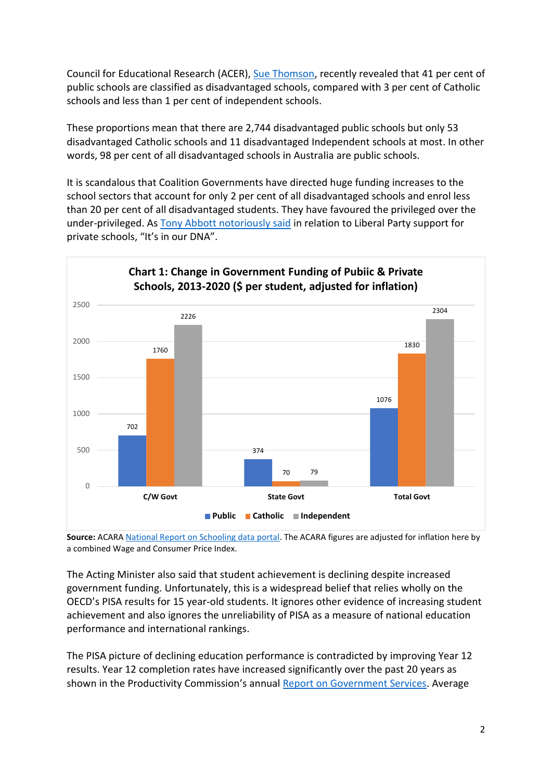Council for Educational Research (ACER), [Sue Thomson,](https://www.teachermagazine.com/au_en/articles/what-does-pisa-tell-us-about-australias-school-sectors) recently revealed that 41 per cent of public schools are classified as disadvantaged schools, compared with 3 per cent of Catholic schools and less than 1 per cent of independent schools.

These proportions mean that there are 2,744 disadvantaged public schools but only 53 disadvantaged Catholic schools and 11 disadvantaged Independent schools at most. In other words, 98 per cent of all disadvantaged schools in Australia are public schools.

It is scandalous that Coalition Governments have directed huge funding increases to the school sectors that account for only 2 per cent of all disadvantaged schools and enrol less than 20 per cent of all disadvantaged students. They have favoured the privileged over the under-privileged. As [Tony Abbott notoriously said](https://www.smh.com.au/politics/federal/dump-plans-to-cut-school-funding-abbott-tells-nsw-20120911-25pnk.html) in relation to Liberal Party support for private schools, "It's in our DNA".



**Source:** ACARA [National Report on Schooling data portal.](https://www.acara.edu.au/reporting/national-report-on-schooling-in-australia/national-report-on-schooling-in-australia-data-portal/school-funding) The ACARA figures are adjusted for inflation here by a combined Wage and Consumer Price Index.

The Acting Minister also said that student achievement is declining despite increased government funding. Unfortunately, this is a widespread belief that relies wholly on the OECD's PISA results for 15 year-old students. It ignores other evidence of increasing student achievement and also ignores the unreliability of PISA as a measure of national education performance and international rankings.

The PISA picture of declining education performance is contradicted by improving Year 12 results. Year 12 completion rates have increased significantly over the past 20 years as shown in the Productivity Commission's annual [Report on Government Services.](https://www.pc.gov.au/research/ongoing/report-on-government-services) Average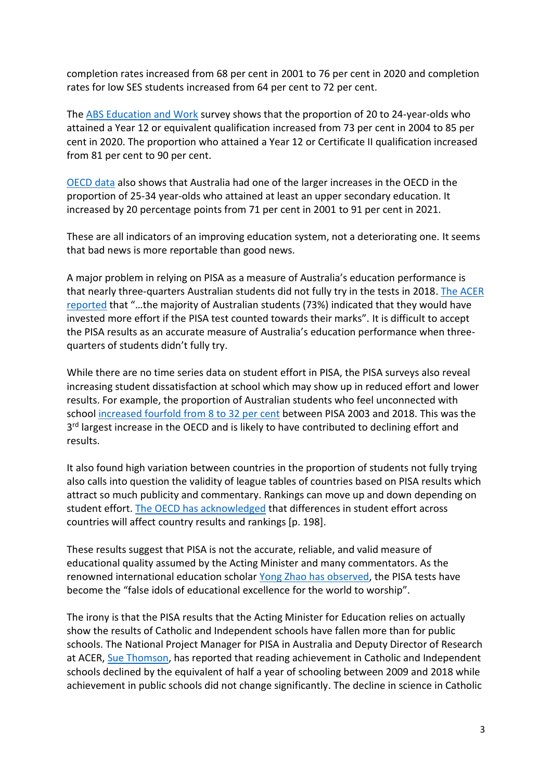completion rates increased from 68 per cent in 2001 to 76 per cent in 2020 and completion rates for low SES students increased from 64 per cent to 72 per cent.

The [ABS Education and Work](https://www.abs.gov.au/statistics/people/education/education-and-work-australia) survey shows that the proportion of 20 to 24-year-olds who attained a Year 12 or equivalent qualification increased from 73 per cent in 2004 to 85 per cent in 2020. The proportion who attained a Year 12 or Certificate II qualification increased from 81 per cent to 90 per cent.

[OECD data](https://www.oecd.org/education/education-at-a-glance/) also shows that Australia had one of the larger increases in the OECD in the proportion of 25-34 year-olds who attained at least an upper secondary education. It increased by 20 percentage points from 71 per cent in 2001 to 91 per cent in 2021.

These are all indicators of an improving education system, not a deteriorating one. It seems that bad news is more reportable than good news.

A major problem in relying on PISA as a measure of Australia's education performance is that nearly three-quarters Australian students did not fully try in the tests in 2018[. The ACER](https://research.acer.edu.au/cgi/viewcontent.cgi?article=1016&context=snapshots)  [reported](https://research.acer.edu.au/cgi/viewcontent.cgi?article=1016&context=snapshots) that "…the majority of Australian students (73%) indicated that they would have invested more effort if the PISA test counted towards their marks". It is difficult to accept the PISA results as an accurate measure of Australia's education performance when threequarters of students didn't fully try.

While there are no time series data on student effort in PISA, the PISA surveys also reveal increasing student dissatisfaction at school which may show up in reduced effort and lower results. For example, the proportion of Australian students who feel unconnected with school [increased fourfold from 8 to 32 per cent](https://saveourschools.com.au/league-tables-and-testing/oecd-says-3-in-4-australian-students-do-not-try-on-pisa-tests/) between PISA 2003 and 2018. This was the 3<sup>rd</sup> largest increase in the OECD and is likely to have contributed to declining effort and results.

It also found high variation between countries in the proportion of students not fully trying also calls into question the validity of league tables of countries based on PISA results which attract so much publicity and commentary. Rankings can move up and down depending on student effort. [The OECD has acknowledged](https://www.oecd.org/pisa/publications/pisa-2018-results-volume-i-5f07c754-en.htm) that differences in student effort across countries will affect country results and rankings [p. 198].

These results suggest that PISA is not the accurate, reliable, and valid measure of educational quality assumed by the Acting Minister and many commentators. As the renowned international education scholar [Yong Zhao has observed,](https://link.springer.com/article/10.1007/s10833-019-09367-x) the PISA tests have become the "false idols of educational excellence for the world to worship".

The irony is that the PISA results that the Acting Minister for Education relies on actually show the results of Catholic and Independent schools have fallen more than for public schools. The National Project Manager for PISA in Australia and Deputy Director of Research at ACER, [Sue Thomson,](https://www.teachermagazine.com/au_en/articles/what-does-pisa-tell-us-about-australias-school-sectors) has reported that reading achievement in Catholic and Independent schools declined by the equivalent of half a year of schooling between 2009 and 2018 while achievement in public schools did not change significantly. The decline in science in Catholic